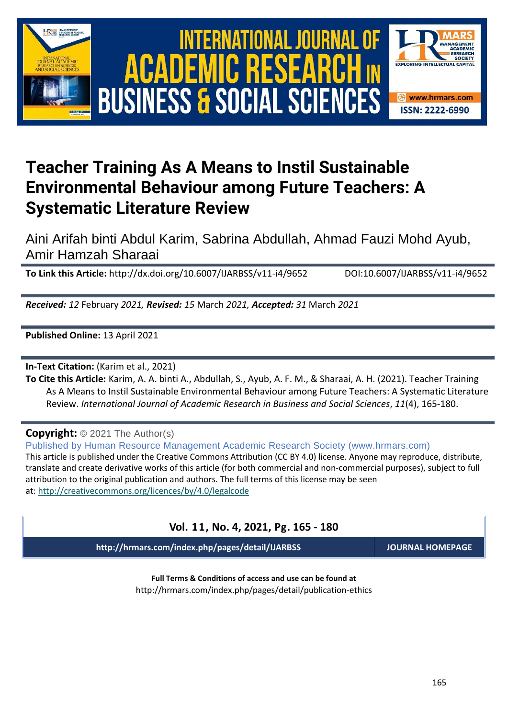

# International Journal of Academic Research in Business and Social Sciences **Vol. 1 1 , No. 4, 2021, E-ISSN: 2222-6990 © 2021 HRMARS** ACADEMIC R **BUSINESS & SOCIAL SCIENCES**



# **Teacher Training As A Means to Instil Sustainable Environmental Behaviour among Future Teachers: A Systematic Literature Review**

Aini Arifah binti Abdul Karim, Sabrina Abdullah, Ahmad Fauzi Mohd Ayub, Amir Hamzah Sharaai

**To Link this Article:** http://dx.doi.org/10.6007/IJARBSS/v11-i4/9652 DOI:10.6007/IJARBSS/v11-i4/9652

*Received: 12* February *2021, Revised: 15* March *2021, Accepted: 31* March *2021*

**Published Online:** 13 April 2021

**In-Text Citation:** (Karim et al., 2021)

**To Cite this Article:** Karim, A. A. binti A., Abdullah, S., Ayub, A. F. M., & Sharaai, A. H. (2021). Teacher Training As A Means to Instil Sustainable Environmental Behaviour among Future Teachers: A Systematic Literature Review. *International Journal of Academic Research in Business and Social Sciences*, *11*(4), 165-180.

# **Copyright:** © 2021 The Author(s)

Published by Human Resource Management Academic Research Society (www.hrmars.com) This article is published under the Creative Commons Attribution (CC BY 4.0) license. Anyone may reproduce, distribute, translate and create derivative works of this article (for both commercial and non-commercial purposes), subject to full attribution to the original publication and authors. The full terms of this license may be seen at: <http://creativecommons.org/licences/by/4.0/legalcode>

# **Vol. 11, No. 4, 2021, Pg. 165 - 180**

**http://hrmars.com/index.php/pages/detail/IJARBSS JOURNAL HOMEPAGE**

**Full Terms & Conditions of access and use can be found at** http://hrmars.com/index.php/pages/detail/publication-ethics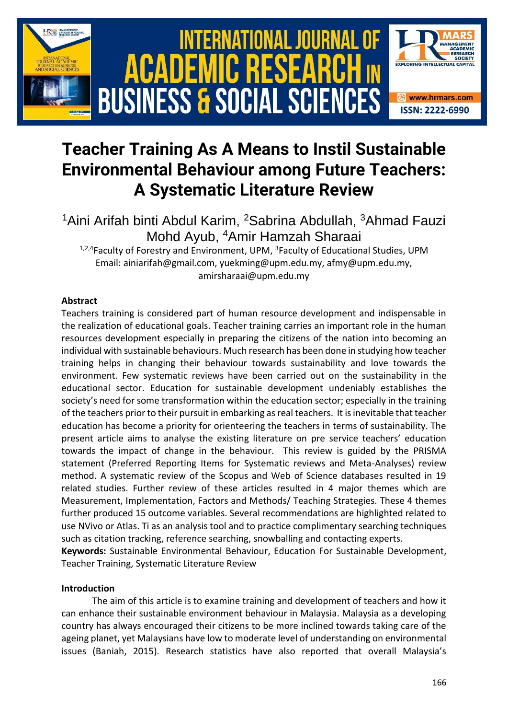

# **Teacher Training As A Means to Instil Sustainable Environmental Behaviour among Future Teachers: A Systematic Literature Review**

<sup>1</sup>Aini Arifah binti Abdul Karim, <sup>2</sup>Sabrina Abdullah, <sup>3</sup>Ahmad Fauzi Mohd Ayub, <sup>4</sup>Amir Hamzah Sharaai

<sup>1,2,4</sup>Faculty of Forestry and Environment, UPM, <sup>3</sup>Faculty of Educational Studies, UPM Email: ainiarifah@gmail.com, yuekming@upm.edu.my, afmy@upm.edu.my, amirsharaai@upm.edu.my

# **Abstract**

Teachers training is considered part of human resource development and indispensable in the realization of educational goals. Teacher training carries an important role in the human resources development especially in preparing the citizens of the nation into becoming an individual with sustainable behaviours. Much research has been done in studying how teacher training helps in changing their behaviour towards sustainability and love towards the environment. Few systematic reviews have been carried out on the sustainability in the educational sector. Education for sustainable development undeniably establishes the society's need for some transformation within the education sector; especially in the training of the teachers prior to their pursuit in embarking as real teachers. It is inevitable that teacher education has become a priority for orienteering the teachers in terms of sustainability. The present article aims to analyse the existing literature on pre service teachers' education towards the impact of change in the behaviour. This review is guided by the PRISMA statement (Preferred Reporting Items for Systematic reviews and Meta-Analyses) review method. A systematic review of the Scopus and Web of Science databases resulted in 19 related studies. Further review of these articles resulted in 4 major themes which are Measurement, Implementation, Factors and Methods/ Teaching Strategies. These 4 themes further produced 15 outcome variables. Several recommendations are highlighted related to use NVivo or Atlas. Ti as an analysis tool and to practice complimentary searching techniques such as citation tracking, reference searching, snowballing and contacting experts.

**Keywords:** Sustainable Environmental Behaviour, Education For Sustainable Development, Teacher Training, Systematic Literature Review

# **Introduction**

The aim of this article is to examine training and development of teachers and how it can enhance their sustainable environment behaviour in Malaysia. Malaysia as a developing country has always encouraged their citizens to be more inclined towards taking care of the ageing planet, yet Malaysians have low to moderate level of understanding on environmental issues (Baniah, 2015). Research statistics have also reported that overall Malaysia's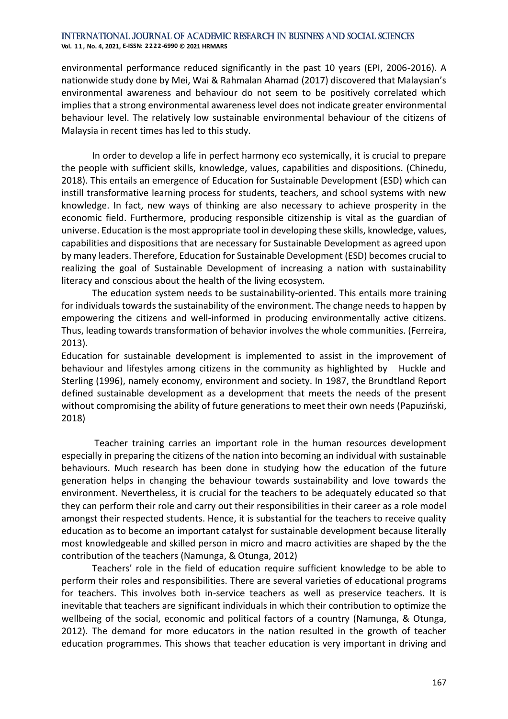**Vol. 1 1 , No. 4, 2021, E-ISSN: 2222-6990 © 2021 HRMARS**

environmental performance reduced significantly in the past 10 years (EPI, 2006-2016). A nationwide study done by Mei, Wai & Rahmalan Ahamad (2017) discovered that Malaysian's environmental awareness and behaviour do not seem to be positively correlated which implies that a strong environmental awareness level does not indicate greater environmental behaviour level. The relatively low sustainable environmental behaviour of the citizens of Malaysia in recent times has led to this study.

In order to develop a life in perfect harmony eco systemically, it is crucial to prepare the people with sufficient skills, knowledge, values, capabilities and dispositions. (Chinedu, 2018). This entails an emergence of Education for Sustainable Development (ESD) which can instill transformative learning process for students, teachers, and school systems with new knowledge. In fact, new ways of thinking are also necessary to achieve prosperity in the economic field. Furthermore, producing responsible citizenship is vital as the guardian of universe. Education is the most appropriate tool in developing these skills, knowledge, values, capabilities and dispositions that are necessary for Sustainable Development as agreed upon by many leaders. Therefore, Education for Sustainable Development (ESD) becomes crucial to realizing the goal of Sustainable Development of increasing a nation with sustainability literacy and conscious about the health of the living ecosystem.

The education system needs to be sustainability-oriented. This entails more training for individuals towards the sustainability of the environment. The change needs to happen by empowering the citizens and well-informed in producing environmentally active citizens. Thus, leading towards transformation of behavior involves the whole communities. (Ferreira, 2013).

Education for sustainable development is implemented to assist in the improvement of behaviour and lifestyles among citizens in the community as highlighted by Huckle and Sterling (1996), namely economy, environment and society. In 1987, the Brundtland Report defined sustainable development as a development that meets the needs of the present without compromising the ability of future generations to meet their own needs (Papuziński, 2018)

Teacher training carries an important role in the human resources development especially in preparing the citizens of the nation into becoming an individual with sustainable behaviours. Much research has been done in studying how the education of the future generation helps in changing the behaviour towards sustainability and love towards the environment. Nevertheless, it is crucial for the teachers to be adequately educated so that they can perform their role and carry out their responsibilities in their career as a role model amongst their respected students. Hence, it is substantial for the teachers to receive quality education as to become an important catalyst for sustainable development because literally most knowledgeable and skilled person in micro and macro activities are shaped by the the contribution of the teachers (Namunga, & Otunga, 2012)

Teachers' role in the field of education require sufficient knowledge to be able to perform their roles and responsibilities. There are several varieties of educational programs for teachers. This involves both in-service teachers as well as preservice teachers. It is inevitable that teachers are significant individuals in which their contribution to optimize the wellbeing of the social, economic and political factors of a country (Namunga, & Otunga, 2012). The demand for more educators in the nation resulted in the growth of teacher education programmes. This shows that teacher education is very important in driving and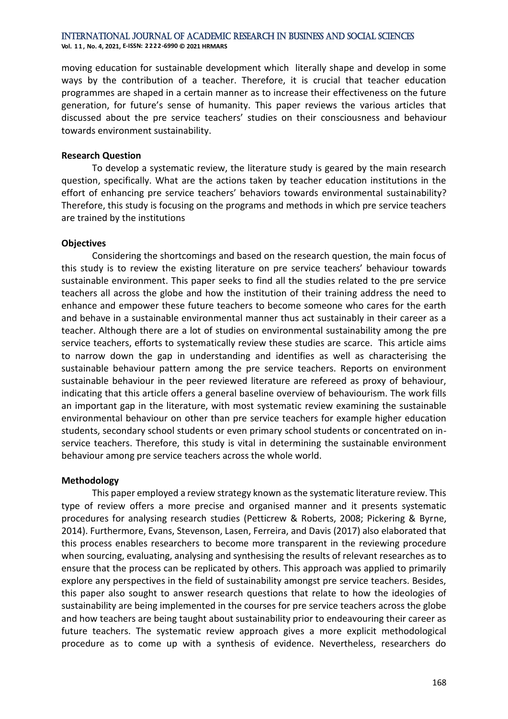**Vol. 1 1 , No. 4, 2021, E-ISSN: 2222-6990 © 2021 HRMARS**

moving education for sustainable development which literally shape and develop in some ways by the contribution of a teacher. Therefore, it is crucial that teacher education programmes are shaped in a certain manner as to increase their effectiveness on the future generation, for future's sense of humanity. This paper reviews the various articles that discussed about the pre service teachers' studies on their consciousness and behaviour towards environment sustainability.

#### **Research Question**

To develop a systematic review, the literature study is geared by the main research question, specifically. What are the actions taken by teacher education institutions in the effort of enhancing pre service teachers' behaviors towards environmental sustainability? Therefore, this study is focusing on the programs and methods in which pre service teachers are trained by the institutions

# **Objectives**

Considering the shortcomings and based on the research question, the main focus of this study is to review the existing literature on pre service teachers' behaviour towards sustainable environment. This paper seeks to find all the studies related to the pre service teachers all across the globe and how the institution of their training address the need to enhance and empower these future teachers to become someone who cares for the earth and behave in a sustainable environmental manner thus act sustainably in their career as a teacher. Although there are a lot of studies on environmental sustainability among the pre service teachers, efforts to systematically review these studies are scarce. This article aims to narrow down the gap in understanding and identifies as well as characterising the sustainable behaviour pattern among the pre service teachers. Reports on environment sustainable behaviour in the peer reviewed literature are refereed as proxy of behaviour, indicating that this article offers a general baseline overview of behaviourism. The work fills an important gap in the literature, with most systematic review examining the sustainable environmental behaviour on other than pre service teachers for example higher education students, secondary school students or even primary school students or concentrated on inservice teachers. Therefore, this study is vital in determining the sustainable environment behaviour among pre service teachers across the whole world.

# **Methodology**

This paper employed a review strategy known as the systematic literature review. This type of review offers a more precise and organised manner and it presents systematic procedures for analysing research studies (Petticrew & Roberts, 2008; Pickering & Byrne, 2014). Furthermore, Evans, Stevenson, Lasen, Ferreira, and Davis (2017) also elaborated that this process enables researchers to become more transparent in the reviewing procedure when sourcing, evaluating, analysing and synthesising the results of relevant researches as to ensure that the process can be replicated by others. This approach was applied to primarily explore any perspectives in the field of sustainability amongst pre service teachers. Besides, this paper also sought to answer research questions that relate to how the ideologies of sustainability are being implemented in the courses for pre service teachers across the globe and how teachers are being taught about sustainability prior to endeavouring their career as future teachers. The systematic review approach gives a more explicit methodological procedure as to come up with a synthesis of evidence. Nevertheless, researchers do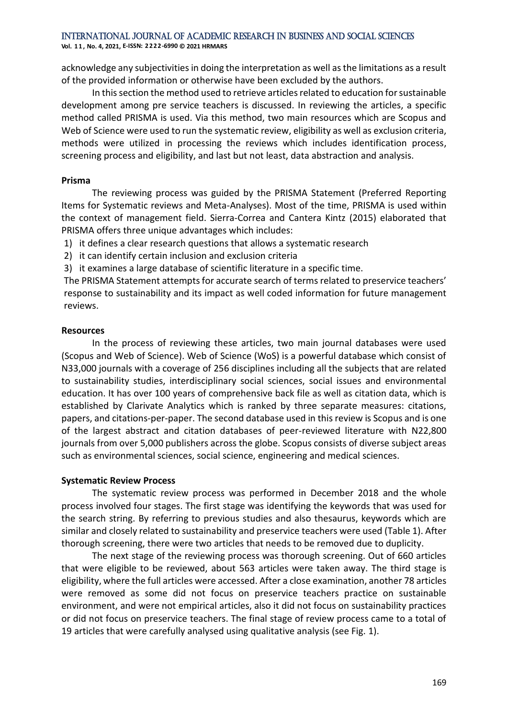**Vol. 1 1 , No. 4, 2021, E-ISSN: 2222-6990 © 2021 HRMARS**

acknowledge any subjectivities in doing the interpretation as well as the limitations as a result of the provided information or otherwise have been excluded by the authors.

In this section the method used to retrieve articles related to education for sustainable development among pre service teachers is discussed. In reviewing the articles, a specific method called PRISMA is used. Via this method, two main resources which are Scopus and Web of Science were used to run the systematic review, eligibility as well as exclusion criteria, methods were utilized in processing the reviews which includes identification process, screening process and eligibility, and last but not least, data abstraction and analysis.

#### **Prisma**

The reviewing process was guided by the PRISMA Statement (Preferred Reporting Items for Systematic reviews and Meta-Analyses). Most of the time, PRISMA is used within the context of management field. Sierra-Correa and Cantera Kintz (2015) elaborated that PRISMA offers three unique advantages which includes:

1) it defines a clear research questions that allows a systematic research

- 2) it can identify certain inclusion and exclusion criteria
- 3) it examines a large database of scientific literature in a specific time.

The PRISMA Statement attempts for accurate search of terms related to preservice teachers' response to sustainability and its impact as well coded information for future management reviews.

# **Resources**

In the process of reviewing these articles, two main journal databases were used (Scopus and Web of Science). Web of Science (WoS) is a powerful database which consist of N33,000 journals with a coverage of 256 disciplines including all the subjects that are related to sustainability studies, interdisciplinary social sciences, social issues and environmental education. It has over 100 years of comprehensive back file as well as citation data, which is established by Clarivate Analytics which is ranked by three separate measures: citations, papers, and citations-per-paper. The second database used in this review is Scopus and is one of the largest abstract and citation databases of peer-reviewed literature with N22,800 journals from over 5,000 publishers across the globe. Scopus consists of diverse subject areas such as environmental sciences, social science, engineering and medical sciences.

# **Systematic Review Process**

The systematic review process was performed in December 2018 and the whole process involved four stages. The first stage was identifying the keywords that was used for the search string. By referring to previous studies and also thesaurus, keywords which are similar and closely related to sustainability and preservice teachers were used (Table 1). After thorough screening, there were two articles that needs to be removed due to duplicity.

The next stage of the reviewing process was thorough screening. Out of 660 articles that were eligible to be reviewed, about 563 articles were taken away. The third stage is eligibility, where the full articles were accessed. After a close examination, another 78 articles were removed as some did not focus on preservice teachers practice on sustainable environment, and were not empirical articles, also it did not focus on sustainability practices or did not focus on preservice teachers. The final stage of review process came to a total of 19 articles that were carefully analysed using qualitative analysis (see Fig. 1).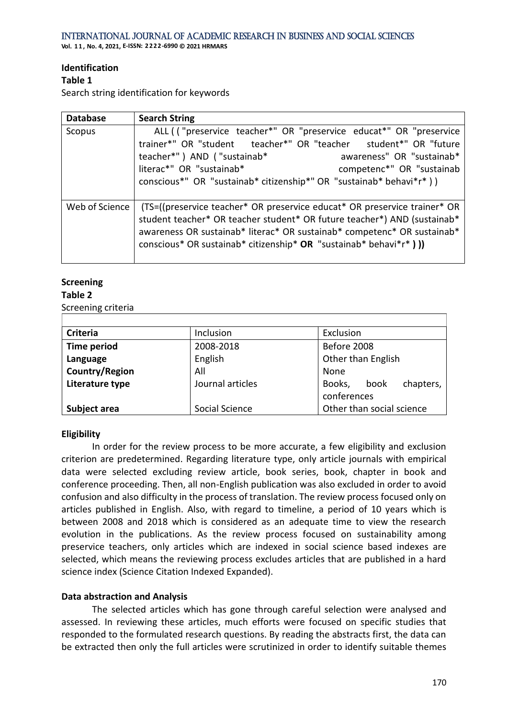**Vol. 1 1 , No. 4, 2021, E-ISSN: 2222-6990 © 2021 HRMARS**

# **Identification**

# **Table 1**

Search string identification for keywords

| <b>Database</b> | <b>Search String</b>                                                                                                                                                                                                                                                                                    |  |
|-----------------|---------------------------------------------------------------------------------------------------------------------------------------------------------------------------------------------------------------------------------------------------------------------------------------------------------|--|
| Scopus          | ALL (("preservice teacher*" OR "preservice educat*" OR "preservice<br>trainer*" OR "student teacher*" OR "teacher student*" OR "future<br>teacher*") AND ("sustainab*<br>awareness" OR "sustainab*<br>literac*" OR "sustainab*<br>competenc*" OR "sustainab                                             |  |
|                 | conscious*" OR "sustainab* citizenship*" OR "sustainab* behavi*r*))                                                                                                                                                                                                                                     |  |
| Web of Science  | (TS=((preservice teacher* OR preservice educat* OR preservice trainer* OR<br>student teacher* OR teacher student* OR future teacher*) AND (sustainab*<br>awareness OR sustainab* literac* OR sustainab* competenc* OR sustainab*<br>conscious* OR sustainab* citizenship* OR "sustainab* behavi*r* ) )) |  |

# **Screening**

# **Table 2**

Screening criteria

| <b>Criteria</b>    | Inclusion        | Exclusion                   |  |
|--------------------|------------------|-----------------------------|--|
| <b>Time period</b> | 2008-2018        | Before 2008                 |  |
| Language           | English          | Other than English          |  |
| Country/Region     | All              | None                        |  |
| Literature type    | Journal articles | chapters,<br>Books,<br>book |  |
|                    |                  | conferences                 |  |
| Subject area       | Social Science   | Other than social science   |  |

# **Eligibility**

In order for the review process to be more accurate, a few eligibility and exclusion criterion are predetermined. Regarding literature type, only article journals with empirical data were selected excluding review article, book series, book, chapter in book and conference proceeding. Then, all non-English publication was also excluded in order to avoid confusion and also difficulty in the process of translation. The review process focused only on articles published in English. Also, with regard to timeline, a period of 10 years which is between 2008 and 2018 which is considered as an adequate time to view the research evolution in the publications. As the review process focused on sustainability among preservice teachers, only articles which are indexed in social science based indexes are selected, which means the reviewing process excludes articles that are published in a hard science index (Science Citation Indexed Expanded).

# **Data abstraction and Analysis**

The selected articles which has gone through careful selection were analysed and assessed. In reviewing these articles, much efforts were focused on specific studies that responded to the formulated research questions. By reading the abstracts first, the data can be extracted then only the full articles were scrutinized in order to identify suitable themes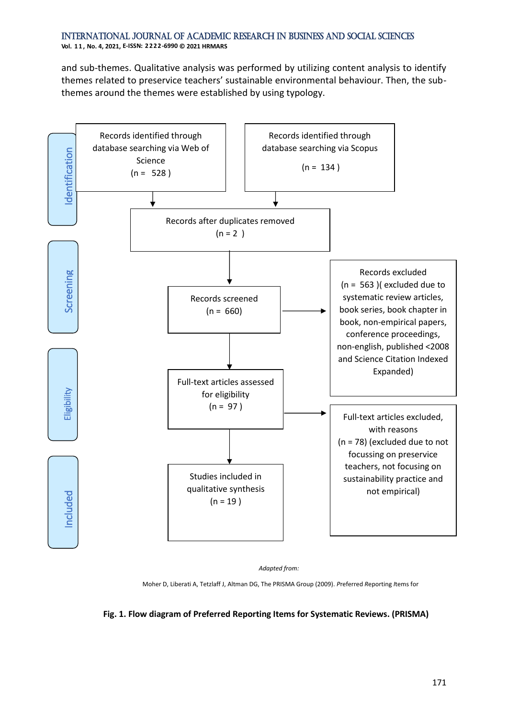and sub-themes. Qualitative analysis was performed by utilizing content analysis to identify themes related to preservice teachers' sustainable environmental behaviour. Then, the subthemes around the themes were established by using typology.



*Adapted from:*

Moher D, Liberati A, Tetzlaff J, Altman DG, The PRISMA Group (2009). *P*referred *R*eporting *I*tems for

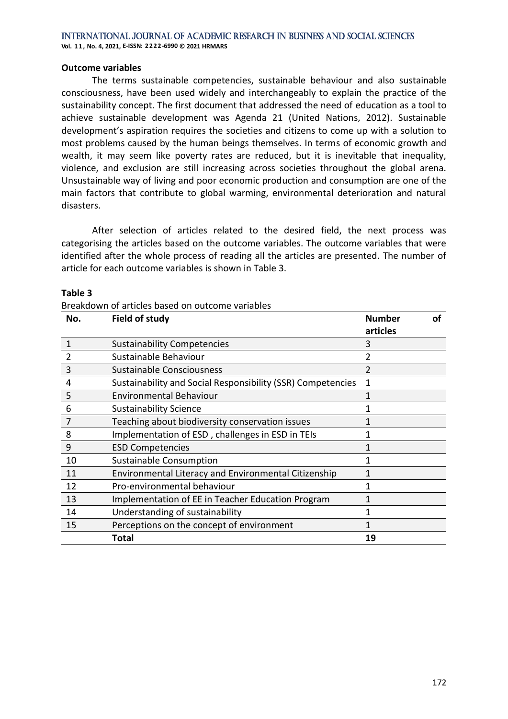**Vol. 1 1 , No. 4, 2021, E-ISSN: 2222-6990 © 2021 HRMARS**

#### **Outcome variables**

The terms sustainable competencies, sustainable behaviour and also sustainable consciousness, have been used widely and interchangeably to explain the practice of the sustainability concept. The first document that addressed the need of education as a tool to achieve sustainable development was Agenda 21 (United Nations, 2012). Sustainable development's aspiration requires the societies and citizens to come up with a solution to most problems caused by the human beings themselves. In terms of economic growth and wealth, it may seem like poverty rates are reduced, but it is inevitable that inequality, violence, and exclusion are still increasing across societies throughout the global arena. Unsustainable way of living and poor economic production and consumption are one of the main factors that contribute to global warming, environmental deterioration and natural disasters.

After selection of articles related to the desired field, the next process was categorising the articles based on the outcome variables. The outcome variables that were identified after the whole process of reading all the articles are presented. The number of article for each outcome variables is shown in Table 3.

|                | Breakdown of articles based on outcome variables            |                           |    |
|----------------|-------------------------------------------------------------|---------------------------|----|
| No.            | Field of study                                              | <b>Number</b><br>articles | Ωf |
| $\mathbf 1$    | <b>Sustainability Competencies</b>                          | 3                         |    |
| $\overline{2}$ | Sustainable Behaviour                                       |                           |    |
| 3              | Sustainable Consciousness                                   | 2                         |    |
| 4              | Sustainability and Social Responsibility (SSR) Competencies | 1                         |    |
| 5              | <b>Environmental Behaviour</b>                              | 1                         |    |
| 6              | <b>Sustainability Science</b>                               |                           |    |
| $\overline{7}$ | Teaching about biodiversity conservation issues             | 1                         |    |
| 8              | Implementation of ESD, challenges in ESD in TEIs            | 1                         |    |
| 9              | <b>ESD Competencies</b>                                     | 1                         |    |
| 10             | Sustainable Consumption                                     | 1                         |    |
| 11             | Environmental Literacy and Environmental Citizenship        | 1                         |    |
| 12             | Pro-environmental behaviour                                 | 1                         |    |
| 13             | Implementation of EE in Teacher Education Program           | 1                         |    |
| 14             | Understanding of sustainability                             |                           |    |
| 15             | Perceptions on the concept of environment                   |                           |    |
|                | <b>Total</b>                                                | 19                        |    |

#### **Table 3**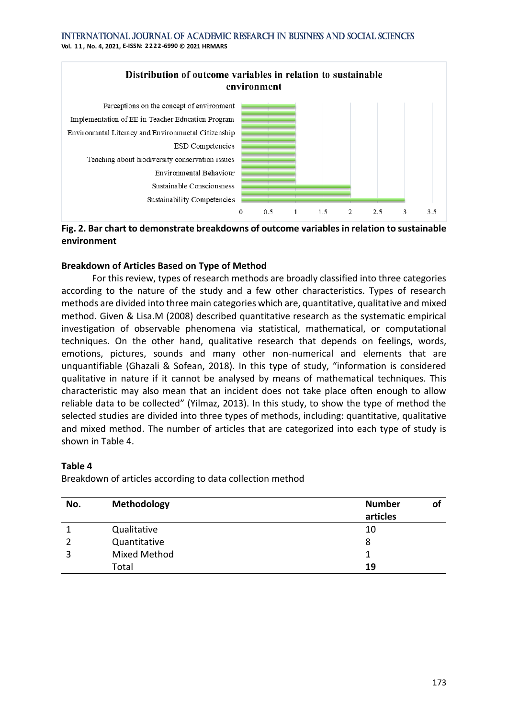

**Fig. 2. Bar chart to demonstrate breakdowns of outcome variables in relation to sustainable environment**

# **Breakdown of Articles Based on Type of Method**

For this review, types of research methods are broadly classified into three categories according to the nature of the study and a few other characteristics. Types of research methods are divided into three main categories which are, quantitative, qualitative and mixed method. Given & Lisa.M (2008) described quantitative research as the systematic empirical investigation of observable phenomena via statistical, mathematical, or computational techniques. On the other hand, qualitative research that depends on feelings, words, emotions, pictures, sounds and many other non-numerical and elements that are unquantifiable (Ghazali & Sofean, 2018). In this type of study, "information is considered qualitative in nature if it cannot be analysed by means of mathematical techniques. This characteristic may also mean that an incident does not take place often enough to allow reliable data to be collected" (Yilmaz, 2013). In this study, to show the type of method the selected studies are divided into three types of methods, including: quantitative, qualitative and mixed method. The number of articles that are categorized into each type of study is shown in Table 4.

# **Table 4**

Breakdown of articles according to data collection method

| No. | Methodology         | <b>Number</b><br>articles |  |
|-----|---------------------|---------------------------|--|
|     |                     |                           |  |
|     | Qualitative         | 10                        |  |
|     | Quantitative        | 8                         |  |
| 3   | <b>Mixed Method</b> |                           |  |
|     | Total               | 19                        |  |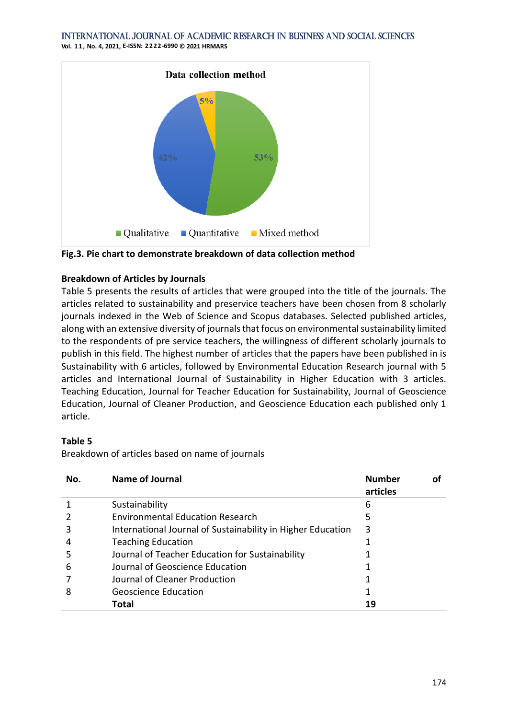**Vol. 1 1 , No. 4, 2021, E-ISSN: 2222-6990 © 2021 HRMARS**



**Fig.3. Pie chart to demonstrate breakdown of data collection method**

# **Breakdown of Articles by Journals**

Table 5 presents the results of articles that were grouped into the title of the journals. The articles related to sustainability and preservice teachers have been chosen from 8 scholarly journals indexed in the Web of Science and Scopus databases. Selected published articles, along with an extensive diversity of journals that focus on environmental sustainability limited to the respondents of pre service teachers, the willingness of different scholarly journals to publish in this field. The highest number of articles that the papers have been published in is Sustainability with 6 articles, followed by Environmental Education Research journal with 5 articles and International Journal of Sustainability in Higher Education with 3 articles. Teaching Education, Journal for Teacher Education for Sustainability, Journal of Geoscience Education, Journal of Cleaner Production, and Geoscience Education each published only 1 article.

# **Table 5**

Breakdown of articles based on name of journals

| No. | Name of Journal                                             | <b>Number</b><br>articles |  |
|-----|-------------------------------------------------------------|---------------------------|--|
|     | Sustainability                                              | 6                         |  |
|     | <b>Environmental Education Research</b>                     | 5                         |  |
|     | International Journal of Sustainability in Higher Education | 3                         |  |
|     | <b>Teaching Education</b>                                   |                           |  |
| 5   | Journal of Teacher Education for Sustainability             |                           |  |
| 6   | Journal of Geoscience Education                             |                           |  |
|     | Journal of Cleaner Production                               |                           |  |
| 8   | <b>Geoscience Education</b>                                 |                           |  |
|     | Total                                                       | 19                        |  |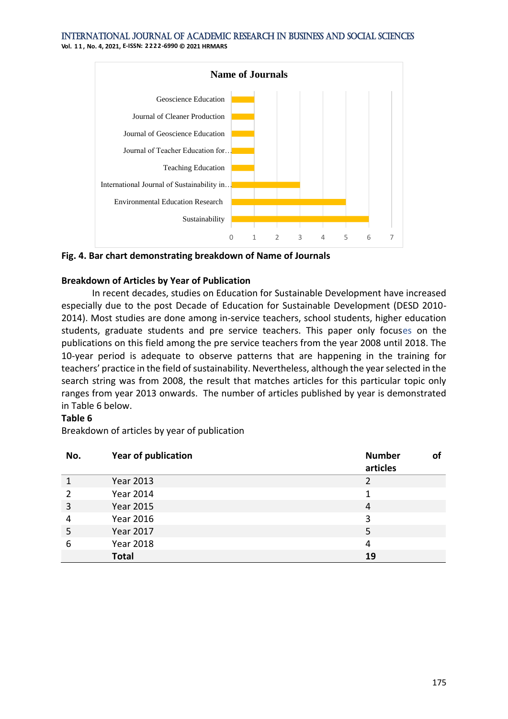**Vol. 1 1 , No. 4, 2021, E-ISSN: 2222-6990 © 2021 HRMARS**



**Fig. 4. Bar chart demonstrating breakdown of Name of Journals**

# **Breakdown of Articles by Year of Publication**

In recent decades, studies on Education for Sustainable Development have increased especially due to the post Decade of Education for Sustainable Development (DESD 2010- 2014). Most studies are done among in-service teachers, school students, higher education students, graduate students and pre service teachers. This paper only focuses on the publications on this field among the pre service teachers from the year 2008 until 2018. The 10-year period is adequate to observe patterns that are happening in the training for teachers' practice in the field of sustainability. Nevertheless, although the year selected in the search string was from 2008, the result that matches articles for this particular topic only ranges from year 2013 onwards. The number of articles published by year is demonstrated in Table 6 below.

# **Table 6**

Breakdown of articles by year of publication

| No. | <b>Year of publication</b> | <b>Number</b><br>articles | 01 |
|-----|----------------------------|---------------------------|----|
|     | <b>Year 2013</b>           |                           |    |
| 2   | Year 2014                  | 1                         |    |
| 3   | <b>Year 2015</b>           | 4                         |    |
| 4   | <b>Year 2016</b>           | 3                         |    |
| 5   | <b>Year 2017</b>           | 5                         |    |
| 6   | <b>Year 2018</b>           | 4                         |    |
|     | <b>Total</b>               | 19                        |    |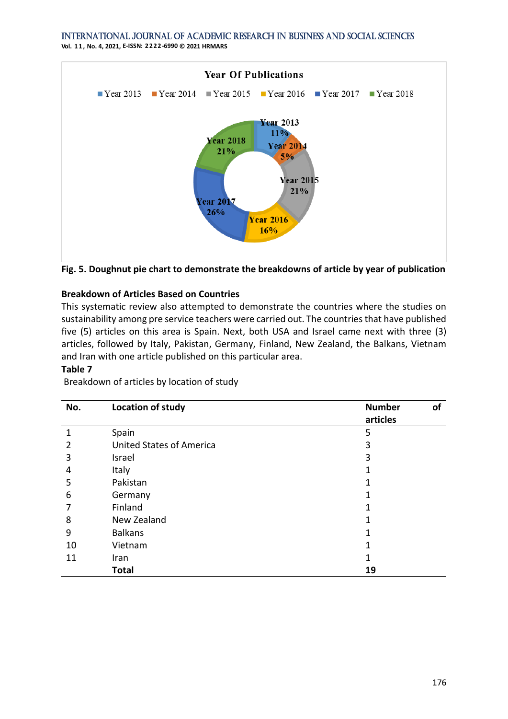**Vol. 1 1 , No. 4, 2021, E-ISSN: 2222-6990 © 2021 HRMARS**



**Fig. 5. Doughnut pie chart to demonstrate the breakdowns of article by year of publication**

# **Breakdown of Articles Based on Countries**

This systematic review also attempted to demonstrate the countries where the studies on sustainability among pre service teachers were carried out. The countries that have published five (5) articles on this area is Spain. Next, both USA and Israel came next with three (3) articles, followed by Italy, Pakistan, Germany, Finland, New Zealand, the Balkans, Vietnam and Iran with one article published on this particular area.

#### **Table 7**

Breakdown of articles by location of study

| No. | Location of study               | <b>Number</b><br>οf<br>articles |
|-----|---------------------------------|---------------------------------|
| 1   | Spain                           | 5                               |
| 2   | <b>United States of America</b> | 3                               |
| 3   | Israel                          | 3                               |
| 4   | Italy                           |                                 |
| 5   | Pakistan                        |                                 |
| 6   | Germany                         |                                 |
|     | Finland                         | 1                               |
| 8   | New Zealand                     | 1                               |
| 9   | <b>Balkans</b>                  |                                 |
| 10  | Vietnam                         |                                 |
| 11  | Iran                            |                                 |
|     | <b>Total</b>                    | 19                              |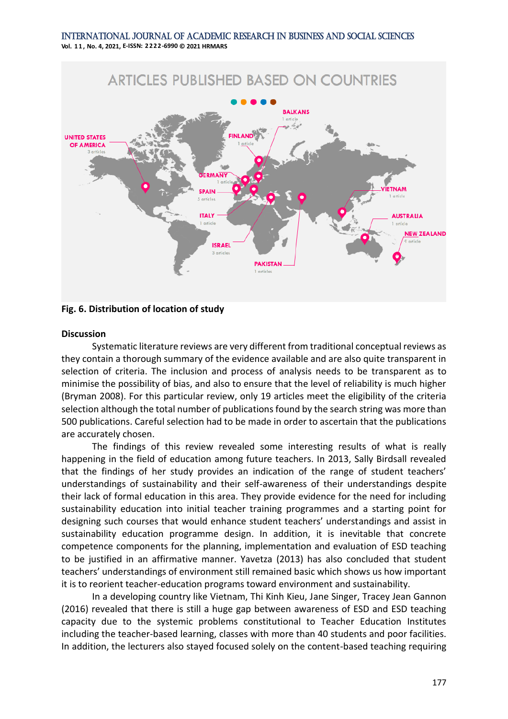International Journal of Academic Research in Business and Social Sciences **Vol. 1 1 , No. 4, 2021, E-ISSN: 2222-6990 © 2021 HRMARS**



**Fig. 6. Distribution of location of study**

#### **Discussion**

Systematic literature reviews are very different from traditional conceptual reviews as they contain a thorough summary of the evidence available and are also quite transparent in selection of criteria. The inclusion and process of analysis needs to be transparent as to minimise the possibility of bias, and also to ensure that the level of reliability is much higher (Bryman 2008). For this particular review, only 19 articles meet the eligibility of the criteria selection although the total number of publications found by the search string was more than 500 publications. Careful selection had to be made in order to ascertain that the publications are accurately chosen.

The findings of this review revealed some interesting results of what is really happening in the field of education among future teachers. In 2013, Sally Birdsall revealed that the findings of her study provides an indication of the range of student teachers' understandings of sustainability and their self-awareness of their understandings despite their lack of formal education in this area. They provide evidence for the need for including sustainability education into initial teacher training programmes and a starting point for designing such courses that would enhance student teachers' understandings and assist in sustainability education programme design. In addition, it is inevitable that concrete competence components for the planning, implementation and evaluation of ESD teaching to be justified in an affirmative manner. Yavetza (2013) has also concluded that student teachers' understandings of environment still remained basic which shows us how important it is to reorient teacher-education programs toward environment and sustainability.

In a developing country like Vietnam, Thi Kinh Kieu, Jane Singer, Tracey Jean Gannon (2016) revealed that there is still a huge gap between awareness of ESD and ESD teaching capacity due to the systemic problems constitutional to Teacher Education Institutes including the teacher-based learning, classes with more than 40 students and poor facilities. In addition, the lecturers also stayed focused solely on the content-based teaching requiring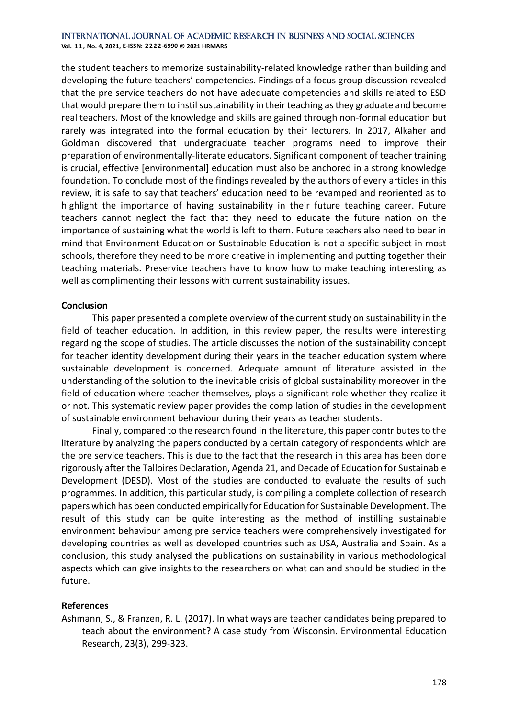**Vol. 1 1 , No. 4, 2021, E-ISSN: 2222-6990 © 2021 HRMARS**

the student teachers to memorize sustainability-related knowledge rather than building and developing the future teachers' competencies. Findings of a focus group discussion revealed that the pre service teachers do not have adequate competencies and skills related to ESD that would prepare them to instil sustainability in their teaching as they graduate and become real teachers. Most of the knowledge and skills are gained through non-formal education but rarely was integrated into the formal education by their lecturers. In 2017, Alkaher and Goldman discovered that undergraduate teacher programs need to improve their preparation of environmentally-literate educators. Significant component of teacher training is crucial, effective [environmental] education must also be anchored in a strong knowledge foundation. To conclude most of the findings revealed by the authors of every articles in this review, it is safe to say that teachers' education need to be revamped and reoriented as to highlight the importance of having sustainability in their future teaching career. Future teachers cannot neglect the fact that they need to educate the future nation on the importance of sustaining what the world is left to them. Future teachers also need to bear in mind that Environment Education or Sustainable Education is not a specific subject in most schools, therefore they need to be more creative in implementing and putting together their teaching materials. Preservice teachers have to know how to make teaching interesting as well as complimenting their lessons with current sustainability issues.

#### **Conclusion**

This paper presented a complete overview of the current study on sustainability in the field of teacher education. In addition, in this review paper, the results were interesting regarding the scope of studies. The article discusses the notion of the sustainability concept for teacher identity development during their years in the teacher education system where sustainable development is concerned. Adequate amount of literature assisted in the understanding of the solution to the inevitable crisis of global sustainability moreover in the field of education where teacher themselves, plays a significant role whether they realize it or not. This systematic review paper provides the compilation of studies in the development of sustainable environment behaviour during their years as teacher students.

Finally, compared to the research found in the literature, this paper contributes to the literature by analyzing the papers conducted by a certain category of respondents which are the pre service teachers. This is due to the fact that the research in this area has been done rigorously after the Talloires Declaration, Agenda 21, and Decade of Education for Sustainable Development (DESD). Most of the studies are conducted to evaluate the results of such programmes. In addition, this particular study, is compiling a complete collection of research papers which has been conducted empirically for Education for Sustainable Development. The result of this study can be quite interesting as the method of instilling sustainable environment behaviour among pre service teachers were comprehensively investigated for developing countries as well as developed countries such as USA, Australia and Spain. As a conclusion, this study analysed the publications on sustainability in various methodological aspects which can give insights to the researchers on what can and should be studied in the future.

# **References**

Ashmann, S., & Franzen, R. L. (2017). In what ways are teacher candidates being prepared to teach about the environment? A case study from Wisconsin. Environmental Education Research, 23(3), 299-323.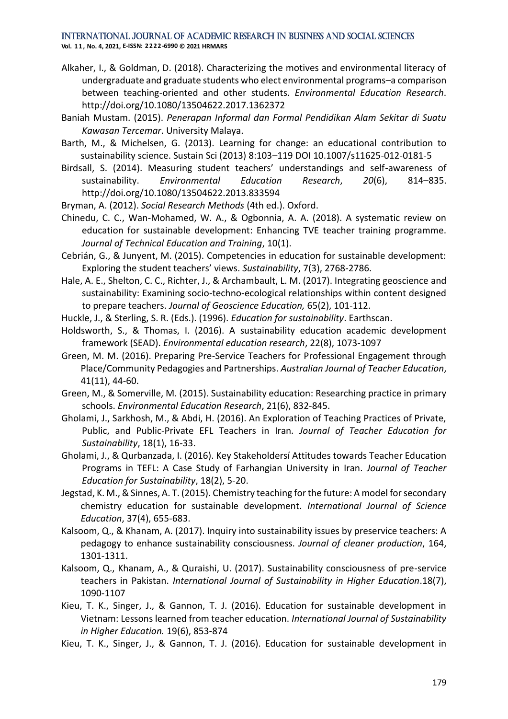**Vol. 1 1 , No. 4, 2021, E-ISSN: 2222-6990 © 2021 HRMARS**

- Alkaher, I., & Goldman, D. (2018). Characterizing the motives and environmental literacy of undergraduate and graduate students who elect environmental programs–a comparison between teaching-oriented and other students. *Environmental Education Research*. http://doi.org/10.1080/13504622.2017.1362372
- Baniah Mustam. (2015). *Penerapan Informal dan Formal Pendidikan Alam Sekitar di Suatu Kawasan Tercemar*. University Malaya.
- Barth, M., & Michelsen, G. (2013). Learning for change: an educational contribution to sustainability science. Sustain Sci (2013) 8:103–119 DOI 10.1007/s11625-012-0181-5
- Birdsall, S. (2014). Measuring student teachers' understandings and self-awareness of sustainability. *Environmental Education Research*, *20*(6), 814–835. http://doi.org/10.1080/13504622.2013.833594
- Bryman, A. (2012). *Social Research Methods* (4th ed.). Oxford.
- Chinedu, C. C., Wan-Mohamed, W. A., & Ogbonnia, A. A. (2018). A systematic review on education for sustainable development: Enhancing TVE teacher training programme. *Journal of Technical Education and Training*, 10(1).
- Cebrián, G., & Junyent, M. (2015). Competencies in education for sustainable development: Exploring the student teachers' views. *Sustainability*, 7(3), 2768-2786.
- Hale, A. E., Shelton, C. C., Richter, J., & Archambault, L. M. (2017). Integrating geoscience and sustainability: Examining socio-techno-ecological relationships within content designed to prepare teachers. *Journal of Geoscience Education,* 65(2), 101-112.
- Huckle, J., & Sterling, S. R. (Eds.). (1996). *Education for sustainability*. Earthscan.
- Holdsworth, S., & Thomas, I. (2016). A sustainability education academic development framework (SEAD). *Environmental education research*, 22(8), 1073-1097
- Green, M. M. (2016). Preparing Pre-Service Teachers for Professional Engagement through Place/Community Pedagogies and Partnerships. *Australian Journal of Teacher Education*, 41(11), 44-60.
- Green, M., & Somerville, M. (2015). Sustainability education: Researching practice in primary schools. *Environmental Education Research*, 21(6), 832-845.
- Gholami, J., Sarkhosh, M., & Abdi, H. (2016). An Exploration of Teaching Practices of Private, Public, and Public-Private EFL Teachers in Iran*. Journal of Teacher Education for Sustainability*, 18(1), 16-33.
- Gholami, J., & Qurbanzada, I. (2016). Key Stakeholdersí Attitudes towards Teacher Education Programs in TEFL: A Case Study of Farhangian University in Iran. *Journal of Teacher Education for Sustainability*, 18(2), 5-20.
- Jegstad, K. M., & Sinnes, A. T. (2015). Chemistry teaching for the future: A model for secondary chemistry education for sustainable development. *International Journal of Science Education*, 37(4), 655-683.
- Kalsoom, Q., & Khanam, A. (2017). Inquiry into sustainability issues by preservice teachers: A pedagogy to enhance sustainability consciousness. *Journal of cleaner production*, 164, 1301-1311.
- Kalsoom, Q., Khanam, A., & Quraishi, U. (2017). Sustainability consciousness of pre-service teachers in Pakistan. *International Journal of Sustainability in Higher Education*.18(7), 1090-1107
- Kieu, T. K., Singer, J., & Gannon, T. J. (2016). Education for sustainable development in Vietnam: Lessons learned from teacher education. *International Journal of Sustainability in Higher Education.* 19(6), 853-874
- Kieu, T. K., Singer, J., & Gannon, T. J. (2016). Education for sustainable development in